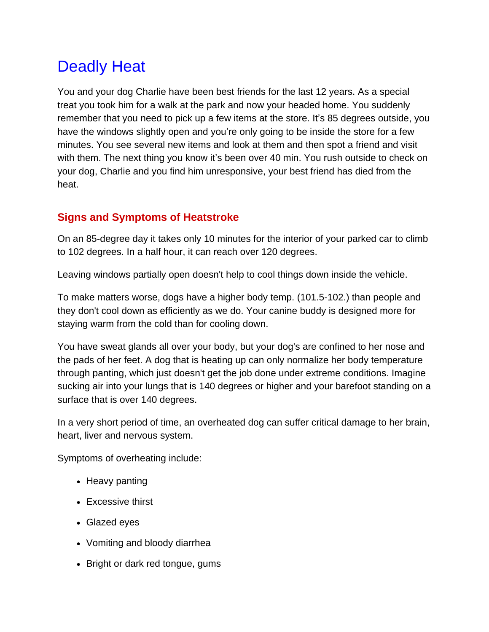# Deadly Heat

You and your dog Charlie have been best friends for the last 12 years. As a special treat you took him for a walk at the park and now your headed home. You suddenly remember that you need to pick up a few items at the store. It's 85 degrees outside, you have the windows slightly open and you're only going to be inside the store for a few minutes. You see several new items and look at them and then spot a friend and visit with them. The next thing you know it's been over 40 min. You rush outside to check on your dog, Charlie and you find him unresponsive, your best friend has died from the heat.

## **Signs and Symptoms of Heatstroke**

On an 85-degree day it takes only 10 minutes for the interior of your parked car to climb to 102 degrees. In a half hour, it can reach over 120 degrees.

Leaving windows partially open doesn't help to cool things down inside the vehicle.

To make matters worse, dogs have a higher body temp. (101.5-102.) than people and they don't cool down as efficiently as we do. Your canine buddy is designed more for staying warm from the cold than for cooling down.

You have sweat glands all over your body, but your dog's are confined to her nose and the pads of her feet. A dog that is heating up can only normalize her body temperature through panting, which just doesn't get the job done under extreme conditions. Imagine sucking air into your lungs that is 140 degrees or higher and your barefoot standing on a surface that is over 140 degrees.

In a very short period of time, an overheated dog can suffer critical damage to her brain, heart, liver and nervous system.

Symptoms of overheating include:

- Heavy panting
- Excessive thirst
- Glazed eyes
- Vomiting and bloody diarrhea
- Bright or dark red tongue, gums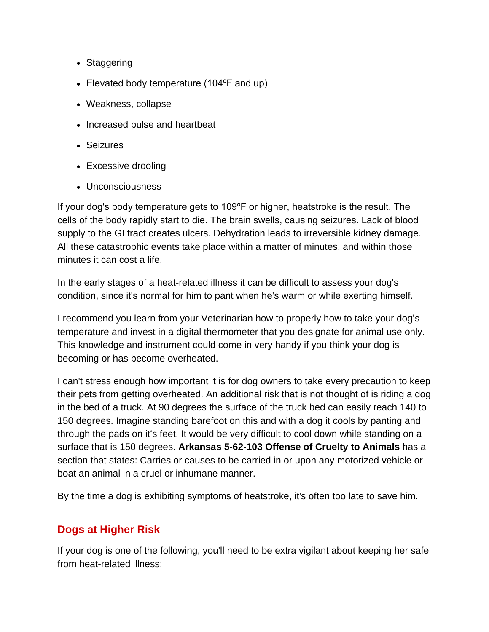- Staggering
- Elevated body temperature (104ºF and up)
- Weakness, collapse
- Increased pulse and heartbeat
- Seizures
- Excessive drooling
- Unconsciousness

If your dog's body temperature gets to 109ºF or higher, heatstroke is the result. The cells of the body rapidly start to die. The brain swells, causing seizures. Lack of blood supply to the GI tract creates ulcers. Dehydration leads to irreversible kidney damage. All these catastrophic events take place within a matter of minutes, and within those minutes it can cost a life.

In the early stages of a heat-related illness it can be difficult to assess your dog's condition, since it's normal for him to pant when he's warm or while exerting himself.

I recommend you learn from your Veterinarian how to properly how to take your dog's temperature and invest in a digital thermometer that you designate for animal use only. This knowledge and instrument could come in very handy if you think your dog is becoming or has become overheated.

I can't stress enough how important it is for dog owners to take every precaution to keep their pets from getting overheated. An additional risk that is not thought of is riding a dog in the bed of a truck. At 90 degrees the surface of the truck bed can easily reach 140 to 150 degrees. Imagine standing barefoot on this and with a dog it cools by panting and through the pads on it's feet. It would be very difficult to cool down while standing on a surface that is 150 degrees. **Arkansas 5-62-103 Offense of Cruelty to Animals** has a section that states: Carries or causes to be carried in or upon any motorized vehicle or boat an animal in a cruel or inhumane manner.

By the time a dog is exhibiting symptoms of heatstroke, it's often too late to save him.

## **Dogs at Higher Risk**

If your dog is one of the following, you'll need to be extra vigilant about keeping her safe from heat-related illness: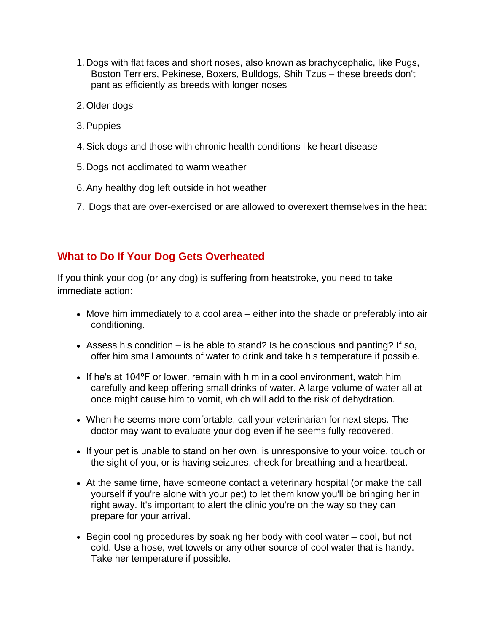- 1. Dogs with flat faces and short noses, also known as brachycephalic, like Pugs, Boston Terriers, Pekinese, Boxers, Bulldogs, Shih Tzus – these breeds don't pant as efficiently as breeds with longer noses
- 2. Older dogs
- 3.Puppies
- 4.Sick dogs and those with chronic health conditions like heart disease
- 5. Dogs not acclimated to warm weather
- 6.Any healthy dog left outside in hot weather
- 7. Dogs that are over-exercised or are allowed to overexert themselves in the heat

### **What to Do If Your Dog Gets Overheated**

If you think your dog (or any dog) is suffering from heatstroke, you need to take immediate action:

- Move him immediately to a cool area either into the shade or preferably into air conditioning.
- Assess his condition is he able to stand? Is he conscious and panting? If so, offer him small amounts of water to drink and take his temperature if possible.
- If he's at 104°F or lower, remain with him in a cool environment, watch him carefully and keep offering small drinks of water. A large volume of water all at once might cause him to vomit, which will add to the risk of dehydration.
- When he seems more comfortable, call your veterinarian for next steps. The doctor may want to evaluate your dog even if he seems fully recovered.
- If your pet is unable to stand on her own, is unresponsive to your voice, touch or the sight of you, or is having seizures, check for breathing and a heartbeat.
- At the same time, have someone contact a veterinary hospital (or make the call yourself if you're alone with your pet) to let them know you'll be bringing her in right away. It's important to alert the clinic you're on the way so they can prepare for your arrival.
- Begin cooling procedures by soaking her body with cool water cool, but not cold. Use a hose, wet towels or any other source of cool water that is handy. Take her temperature if possible.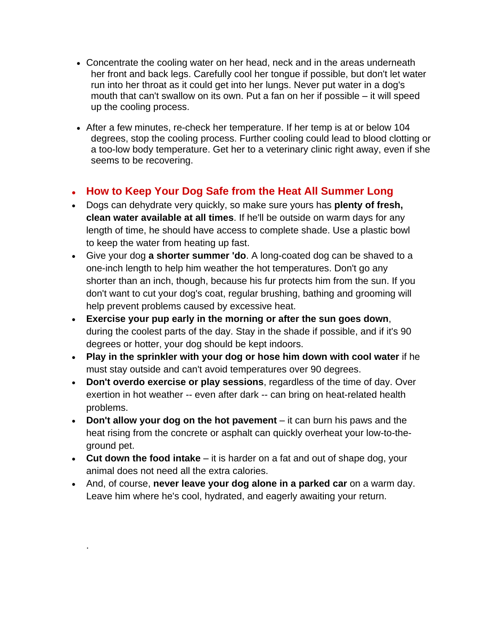- Concentrate the cooling water on her head, neck and in the areas underneath her front and back legs. Carefully cool her tongue if possible, but don't let water run into her throat as it could get into her lungs. Never put water in a dog's mouth that can't swallow on its own. Put a fan on her if possible – it will speed up the cooling process.
- After a few minutes, re-check her temperature. If her temp is at or below 104 degrees, stop the cooling process. Further cooling could lead to blood clotting or a too-low body temperature. Get her to a veterinary clinic right away, even if she seems to be recovering.

### **How to Keep Your Dog Safe from the Heat All Summer Long**

- Dogs can dehydrate very quickly, so make sure yours has **plenty of fresh, clean water available at all times**. If he'll be outside on warm days for any length of time, he should have access to complete shade. Use a plastic bowl to keep the water from heating up fast.
- Give your dog **a shorter summer 'do**. A long-coated dog can be shaved to a one-inch length to help him weather the hot temperatures. Don't go any shorter than an inch, though, because his fur protects him from the sun. If you don't want to cut your dog's coat, regular brushing, bathing and grooming will help prevent problems caused by excessive heat.
- **Exercise your pup early in the morning or after the sun goes down**, during the coolest parts of the day. Stay in the shade if possible, and if it's 90 degrees or hotter, your dog should be kept indoors.
- **Play in the sprinkler with your dog or hose him down with cool water** if he must stay outside and can't avoid temperatures over 90 degrees.
- **Don't overdo exercise or play sessions**, regardless of the time of day. Over exertion in hot weather -- even after dark -- can bring on heat-related health problems.
- **Don't allow your dog on the hot pavement**  it can burn his paws and the heat rising from the concrete or asphalt can quickly overheat your low-to-theground pet.
- **Cut down the food intake** it is harder on a fat and out of shape dog, your animal does not need all the extra calories.
- And, of course, **never leave your dog alone in a parked car** on a warm day. Leave him where he's cool, hydrated, and eagerly awaiting your return.

.